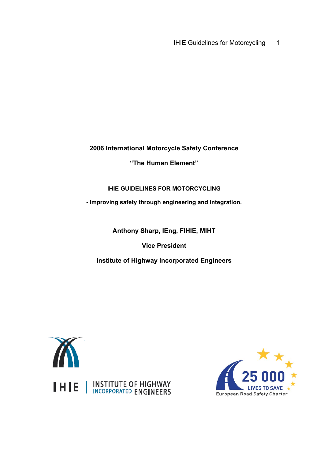IHIE Guidelines for Motorcycling 1

**2006 International Motorcycle Safety Conference**

**"The Human Element"**

**IHIE GUIDELINES FOR MOTORCYCLING** 

**- Improving safety through engineering and integration***.*

**Anthony Sharp, IEng, FIHIE, MIHT** 

**Vice President** 

**Institute of Highway Incorporated Engineers** 



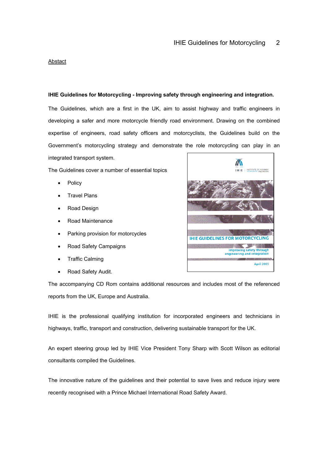#### **Abstact**

# **IHIE Guidelines for Motorcycling - Improving safety through engineering and integration***.*

The Guidelines, which are a first in the UK, aim to assist highway and traffic engineers in developing a safer and more motorcycle friendly road environment. Drawing on the combined expertise of engineers, road safety officers and motorcyclists, the Guidelines build on the Government's motorcycling strategy and demonstrate the role motorcycling can play in an

integrated transport system.

The Guidelines cover a number of essential topics

- **Policy**
- **Travel Plans**
- Road Design
- Road Maintenance
- Parking provision for motorcycles
- Road Safety Campaigns
- Traffic Calming
- Road Safety Audit.

The accompanying CD Rom contains additional resources and includes most of the referenced reports from the UK, Europe and Australia.

IHIE is the professional qualifying institution for incorporated engineers and technicians in highways, traffic, transport and construction, delivering sustainable transport for the UK.

An expert steering group led by IHIE Vice President Tony Sharp with Scott Wilson as editorial consultants compiled the Guidelines.

The innovative nature of the guidelines and their potential to save lives and reduce injury were recently recognised with a Prince Michael International Road Safety Award.

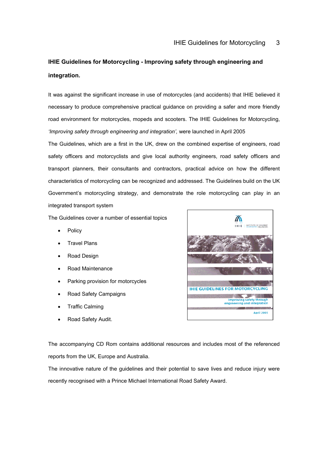# **IHIE Guidelines for Motorcycling - Improving safety through engineering and integration***.*

It was against the significant increase in use of motorcycles (and accidents) that IHIE believed it necessary to produce comprehensive practical guidance on providing a safer and more friendly road environment for motorcycles, mopeds and scooters. The IHIE Guidelines for Motorcycling, *'Improving safety through engineering and integration',* were launched in April 2005

The Guidelines, which are a first in the UK, drew on the combined expertise of engineers, road safety officers and motorcyclists and give local authority engineers, road safety officers and transport planners, their consultants and contractors, practical advice on how the different characteristics of motorcycling can be recognized and addressed. The Guidelines build on the UK Government's motorcycling strategy, and demonstrate the role motorcycling can play in an integrated transport system

The Guidelines cover a number of essential topics

- **Policy**
- Travel Plans
- Road Design
- Road Maintenance
- Parking provision for motorcycles
- Road Safety Campaigns
- Traffic Calming
- Road Safety Audit.



The accompanying CD Rom contains additional resources and includes most of the referenced reports from the UK, Europe and Australia.

The innovative nature of the guidelines and their potential to save lives and reduce injury were recently recognised with a Prince Michael International Road Safety Award.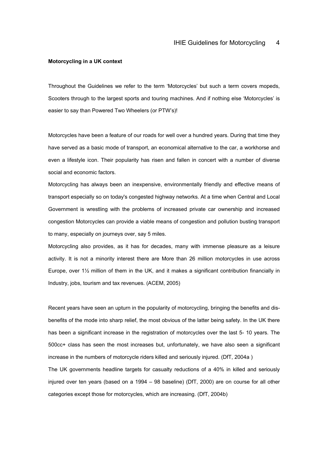#### **Motorcycling in a UK context**

Throughout the Guidelines we refer to the term 'Motorcycles' but such a term covers mopeds, Scooters through to the largest sports and touring machines. And if nothing else 'Motorcycles' is easier to say than Powered Two Wheelers (or PTW's)!

Motorcycles have been a feature of our roads for well over a hundred years. During that time they have served as a basic mode of transport, an economical alternative to the car, a workhorse and even a lifestyle icon. Their popularity has risen and fallen in concert with a number of diverse social and economic factors.

Motorcycling has always been an inexpensive, environmentally friendly and effective means of transport especially so on today's congested highway networks. At a time when Central and Local Government is wrestling with the problems of increased private car ownership and increased congestion Motorcycles can provide a viable means of congestion and pollution busting transport to many, especially on journeys over, say 5 miles.

Motorcycling also provides, as it has for decades, many with immense pleasure as a leisure activity. It is not a minority interest there are More than 26 million motorcycles in use across Europe, over 1½ million of them in the UK, and it makes a significant contribution financially in Industry, jobs, tourism and tax revenues. (ACEM, 2005)

Recent years have seen an upturn in the popularity of motorcycling, bringing the benefits and disbenefits of the mode into sharp relief, the most obvious of the latter being safety. In the UK there has been a significant increase in the registration of motorcycles over the last 5- 10 years. The 500cc+ class has seen the most increases but, unfortunately, we have also seen a significant increase in the numbers of motorcycle riders killed and seriously injured. (DfT, 2004a )

The UK governments headline targets for casualty reductions of a 40% in killed and seriously injured over ten years (based on a 1994 – 98 baseline) (DfT, 2000) are on course for all other categories except those for motorcycles, which are increasing. (DfT, 2004b)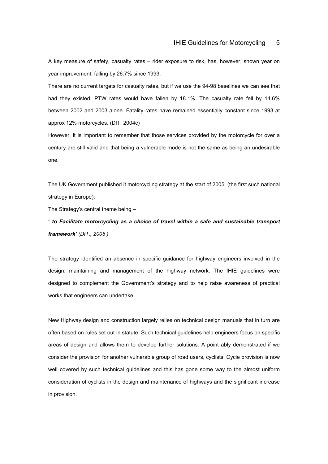A key measure of safety, casualty rates – rider exposure to risk, has, however, shown year on year improvement, falling by 26.7% since 1993.

There are no current targets for casualty rates, but if we use the 94-98 baselines we can see that had they existed, PTW rates would have fallen by 18.1%. The casualty rate fell by 14.6% between 2002 and 2003 alone. Fatality rates have remained essentially constant since 1993 at approx 12% motorcycles. (DfT, 2004c)

However, it is important to remember that those services provided by the motorcycle for over a century are still valid and that being a vulnerable mode is not the same as being an undesirable one.

The UK Government published it motorcycling strategy at the start of 2005 (the first such national strategy in Europe):

The Strategy's central theme being –

**'** *to Facilitate motorcycling as a choice of travel within a safe and sustainable transport framework' (DfT,, 2005 )* 

The strategy identified an absence in specific guidance for highway engineers involved in the design, maintaining and management of the highway network. The IHIE guidelines were designed to complement the Government's strategy and to help raise awareness of practical works that engineers can undertake.

New Highway design and construction largely relies on technical design manuals that in turn are often based on rules set out in statute. Such technical guidelines help engineers focus on specific areas of design and allows them to develop further solutions. A point ably demonstrated if we consider the provision for another vulnerable group of road users, cyclists. Cycle provision is now well covered by such technical guidelines and this has gone some way to the almost uniform consideration of cyclists in the design and maintenance of highways and the significant increase in provision.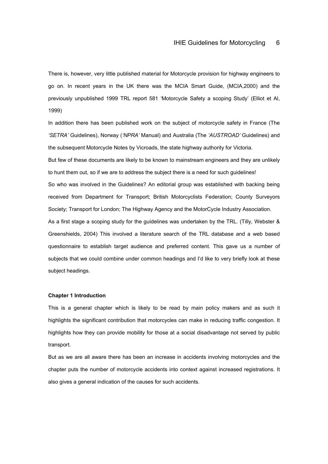There is, however, very little published material for Motorcycle provision for highway engineers to go on. In recent years in the UK there was the MCIA Smart Guide, (MCIA,2000) and the previously unpublished 1999 TRL report 581 'Motorcycle Safety a scoping Study' (Elliot et Al, 1999)

In addition there has been published work on the subject of motorcycle safety in France (The *'SETRA'* Guidelines), Norway (*'NPRA'* Manual) and Australia (The *'AUSTROAD'* Guidelines) and the subsequent Motorcycle Notes by Vicroads, the state highway authority for Victoria.

But few of these documents are likely to be known to mainstream engineers and they are unlikely to hunt them out, so if we are to address the subject there is a need for such guidelines!

So who was involved in the Guidelines? An editorial group was established with backing being received from Department for Transport; British Motorcyclists Federation; County Surveyors Society; Transport for London; The Highway Agency and the MotorCycle Industry Association.

As a first stage a scoping study for the guidelines was undertaken by the TRL. (Tilly, Webster & Greenshields, 2004) This involved a literature search of the TRL database and a web based questionnaire to establish target audience and preferred content. This gave us a number of subjects that we could combine under common headings and I'd like to very briefly look at these subject headings.

#### **Chapter 1 Introduction**

This is a general chapter which is likely to be read by main policy makers and as such it highlights the significant contribution that motorcycles can make in reducing traffic congestion. It highlights how they can provide mobility for those at a social disadvantage not served by public transport.

But as we are all aware there has been an increase in accidents involving motorcycles and the chapter puts the number of motorcycle accidents into context against increased registrations. It also gives a general indication of the causes for such accidents.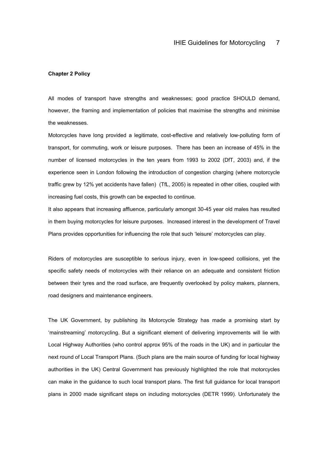#### **Chapter 2 Policy**

All modes of transport have strengths and weaknesses; good practice SHOULD demand, however, the framing and implementation of policies that maximise the strengths and minimise the weaknesses.

Motorcycles have long provided a legitimate, cost-effective and relatively low-polluting form of transport, for commuting, work or leisure purposes. There has been an increase of 45% in the number of licensed motorcycles in the ten years from 1993 to 2002 (DfT, 2003) and, if the experience seen in London following the introduction of congestion charging (where motorcycle traffic grew by 12% yet accidents have fallen) (TfL, 2005) is repeated in other cities, coupled with increasing fuel costs, this growth can be expected to continue.

It also appears that increasing affluence, particularly amongst 30-45 year old males has resulted in them buying motorcycles for leisure purposes. Increased interest in the development of Travel Plans provides opportunities for influencing the role that such 'leisure' motorcycles can play.

Riders of motorcycles are susceptible to serious injury, even in low-speed collisions, yet the specific safety needs of motorcycles with their reliance on an adequate and consistent friction between their tyres and the road surface, are frequently overlooked by policy makers, planners, road designers and maintenance engineers.

The UK Government, by publishing its Motorcycle Strategy has made a promising start by 'mainstreaming' motorcycling. But a significant element of delivering improvements will lie with Local Highway Authorities (who control approx 95% of the roads in the UK) and in particular the next round of Local Transport Plans. (Such plans are the main source of funding for local highway authorities in the UK) Central Government has previously highlighted the role that motorcycles can make in the guidance to such local transport plans. The first full guidance for local transport plans in 2000 made significant steps on including motorcycles (DETR 1999). Unfortunately the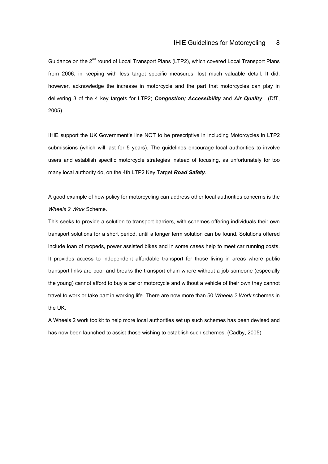Guidance on the 2<sup>nd</sup> round of Local Transport Plans (LTP2), which covered Local Transport Plans from 2006, in keeping with less target specific measures, lost much valuable detail. It did, however, acknowledge the increase in motorcycle and the part that motorcycles can play in delivering 3 of the 4 key targets for LTP2; *Congestion; Accessibility* and *Air Quality* . (DfT, 2005)

IHIE support the UK Government's line NOT to be prescriptive in including Motorcycles in LTP2 submissions (which will last for 5 years). The guidelines encourage local authorities to involve users and establish specific motorcycle strategies instead of focusing, as unfortunately for too many local authority do, on the 4th LTP2 Key Target *Road Safety*.

A good example of how policy for motorcycling can address other local authorities concerns is the *Wheels 2 Work* Scheme.

This seeks to provide a solution to transport barriers, with schemes offering individuals their own transport solutions for a short period, until a longer term solution can be found. Solutions offered include loan of mopeds, power assisted bikes and in some cases help to meet car running costs. It provides access to independent affordable transport for those living in areas where public transport links are poor and breaks the transport chain where without a job someone (especially the young) cannot afford to buy a car or motorcycle and without a vehicle of their own they cannot travel to work or take part in working life. There are now more than 50 *Wheels 2 Work* schemes in the UK.

A Wheels 2 work toolkit to help more local authorities set up such schemes has been devised and has now been launched to assist those wishing to establish such schemes. (Cadby, 2005)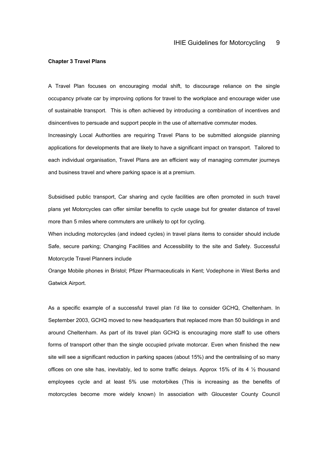#### **Chapter 3 Travel Plans**

A Travel Plan focuses on encouraging modal shift, to discourage reliance on the single occupancy private car by improving options for travel to the workplace and encourage wider use of sustainable transport. This is often achieved by introducing a combination of incentives and disincentives to persuade and support people in the use of alternative commuter modes. Increasingly Local Authorities are requiring Travel Plans to be submitted alongside planning applications for developments that are likely to have a significant impact on transport. Tailored to each individual organisation, Travel Plans are an efficient way of managing commuter journeys

and business travel and where parking space is at a premium.

Subsidised public transport, Car sharing and cycle facilities are often promoted in such travel plans yet Motorcycles can offer similar benefits to cycle usage but for greater distance of travel more than 5 miles where commuters are unlikely to opt for cycling.

When including motorcycles (and indeed cycles) in travel plans items to consider should include Safe, secure parking; Changing Facilities and Accessibility to the site and Safety. Successful Motorcycle Travel Planners include

Orange Mobile phones in Bristol; Pfizer Pharmaceuticals in Kent; Vodephone in West Berks and Gatwick Airport.

As a specific example of a successful travel plan I'd like to consider GCHQ, Cheltenham. In September 2003, GCHQ moved to new headquarters that replaced more than 50 buildings in and around Cheltenham. As part of its travel plan GCHQ is encouraging more staff to use others forms of transport other than the single occupied private motorcar. Even when finished the new site will see a significant reduction in parking spaces (about 15%) and the centralising of so many offices on one site has, inevitably, led to some traffic delays. Approx 15% of its 4 ½ thousand employees cycle and at least 5% use motorbikes (This is increasing as the benefits of motorcycles become more widely known) In association with Gloucester County Council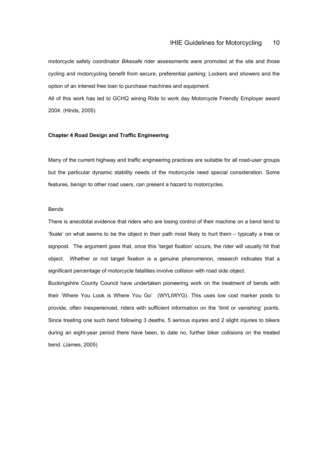motorcycle safety coordinator *Bikesafe* rider assessments were promoted at the site and those cycling and motorcycling benefit from secure, preferential parking; Lockers and showers and the option of an interest free loan to purchase machines and equipment.

All of this work has led to GCHQ wining Ride to work day Motorcycle Friendly Employer award 2004. (Hinds, 2005)

# **Chapter 4 Road Design and Traffic Engineering**

Many of the current highway and traffic engineering practices are suitable for all road-user groups but the particular dynamic stability needs of the motorcycle need special consideration. Some features, benign to other road users, can present a hazard to motorcycles.

# Bends

There is anecdotal evidence that riders who are losing control of their machine on a bend tend to 'fixate' on what seems to be the object in their path most likely to hurt them – typically a tree or signpost. The argument goes that, once this 'target fixation' occurs, the rider will usually hit that object. Whether or not target fixation is a genuine phenomenon, research indicates that a significant percentage of motorcycle fatalities involve collision with road side object.

Buckingshire County Council have undertaken pioneering work on the treatment of bends with their 'Where You Look is Where You Go' (WYLIWYG). This uses low cost marker posts to provide, often inexperienced, riders with sufficient information on the 'limit or vanishing' points. Since treating one such bend following 3 deaths, 5 serious injuries and 2 slight injuries to bikers during an eight-year period there have been, to date no, further biker collisions on the treated bend. (James, 2005)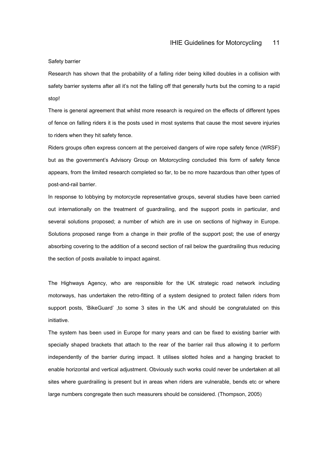Safety barrier

Research has shown that the probability of a falling rider being killed doubles in a collision with safety barrier systems after all it's not the falling off that generally hurts but the coming to a rapid stop!

There is general agreement that whilst more research is required on the effects of different types of fence on falling riders it is the posts used in most systems that cause the most severe injuries to riders when they hit safety fence.

Riders groups often express concern at the perceived dangers of wire rope safety fence (WRSF) but as the government's Advisory Group on Motorcycling concluded this form of safety fence appears, from the limited research completed so far, to be no more hazardous than other types of post-and-rail barrier.

In response to lobbying by motorcycle representative groups, several studies have been carried out internationally on the treatment of guardrailing, and the support posts in particular, and several solutions proposed; a number of which are in use on sections of highway in Europe. Solutions proposed range from a change in their profile of the support post; the use of energy absorbing covering to the addition of a second section of rail below the guardrailing thus reducing the section of posts available to impact against.

The Highways Agency, who are responsible for the UK strategic road network including motorways, has undertaken the retro-fitting of a system designed to protect fallen riders from support posts, 'BikeGuard' ,to some 3 sites in the UK and should be congratulated on this initiative.

The system has been used in Europe for many years and can be fixed to existing barrier with specially shaped brackets that attach to the rear of the barrier rail thus allowing it to perform independently of the barrier during impact. It utilises slotted holes and a hanging bracket to enable horizontal and vertical adjustment. Obviously such works could never be undertaken at all sites where guardrailing is present but in areas when riders are vulnerable, bends etc or where large numbers congregate then such measurers should be considered. (Thompson, 2005)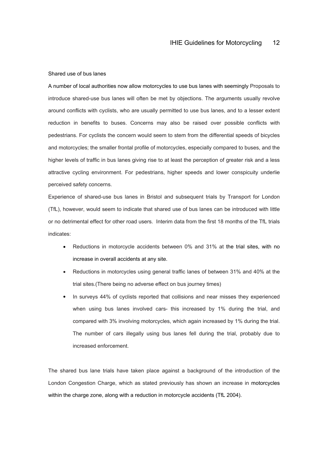#### Shared use of bus lanes

A number of local authorities now allow motorcycles to use bus lanes with seemingly Proposals to introduce shared-use bus lanes will often be met by objections. The arguments usually revolve around conflicts with cyclists, who are usually permitted to use bus lanes, and to a lesser extent reduction in benefits to buses. Concerns may also be raised over possible conflicts with pedestrians. For cyclists the concern would seem to stem from the differential speeds of bicycles and motorcycles; the smaller frontal profile of motorcycles, especially compared to buses, and the higher levels of traffic in bus lanes giving rise to at least the perception of greater risk and a less attractive cycling environment. For pedestrians, higher speeds and lower conspicuity underlie perceived safety concerns.

Experience of shared-use bus lanes in Bristol and subsequent trials by Transport for London (TfL), however, would seem to indicate that shared use of bus lanes can be introduced with little or no detrimental effect for other road users. Interim data from the first 18 months of the TfL trials indicates:

- Reductions in motorcycle accidents between 0% and 31% at the trial sites, with no increase in overall accidents at any site.
- Reductions in motorcycles using general traffic lanes of between 31% and 40% at the trial sites.(There being no adverse effect on bus journey times)
- In surveys 44% of cyclists reported that collisions and near misses they experienced when using bus lanes involved cars- this increased by 1% during the trial, and compared with 3% involving motorcycles, which again increased by 1% during the trial. The number of cars illegally using bus lanes fell during the trial, probably due to increased enforcement.

The shared bus lane trials have taken place against a background of the introduction of the London Congestion Charge, which as stated previously has shown an increase in motorcycles within the charge zone, along with a reduction in motorcycle accidents (TfL 2004).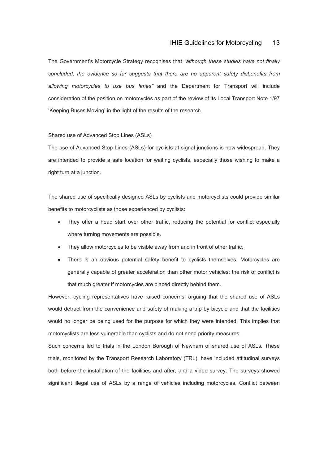# IHIE Guidelines for Motorcycling 13

The Government's Motorcycle Strategy recognises that *"although these studies have not finally concluded, the evidence so far suggests that there are no apparent safety disbenefits from allowing motorcycles to use bus lanes"* and the Department for Transport will include consideration of the position on motorcycles as part of the review of its Local Transport Note 1/97 'Keeping Buses Moving' in the light of the results of the research.

# Shared use of Advanced Stop Lines (ASLs)

The use of Advanced Stop Lines (ASLs) for cyclists at signal junctions is now widespread. They are intended to provide a safe location for waiting cyclists, especially those wishing to make a right turn at a junction.

The shared use of specifically designed ASLs by cyclists and motorcyclists could provide similar benefits to motorcyclists as those experienced by cyclists:

- They offer a head start over other traffic, reducing the potential for conflict especially where turning movements are possible.
- They allow motorcycles to be visible away from and in front of other traffic.
- There is an obvious potential safety benefit to cyclists themselves. Motorcycles are generally capable of greater acceleration than other motor vehicles; the risk of conflict is that much greater if motorcycles are placed directly behind them.

However, cycling representatives have raised concerns, arguing that the shared use of ASLs would detract from the convenience and safety of making a trip by bicycle and that the facilities would no longer be being used for the purpose for which they were intended. This implies that motorcyclists are less vulnerable than cyclists and do not need priority measures.

Such concerns led to trials in the London Borough of Newham of shared use of ASLs. These trials, monitored by the Transport Research Laboratory (TRL), have included attitudinal surveys both before the installation of the facilities and after, and a video survey. The surveys showed significant illegal use of ASLs by a range of vehicles including motorcycles. Conflict between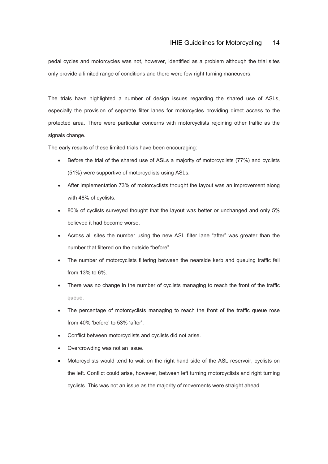pedal cycles and motorcycles was not, however, identified as a problem although the trial sites only provide a limited range of conditions and there were few right turning maneuvers.

The trials have highlighted a number of design issues regarding the shared use of ASLs, especially the provision of separate filter lanes for motorcycles providing direct access to the protected area. There were particular concerns with motorcyclists rejoining other traffic as the signals change.

The early results of these limited trials have been encouraging:

- Before the trial of the shared use of ASLs a majority of motorcyclists (77%) and cyclists (51%) were supportive of motorcyclists using ASLs.
- After implementation 73% of motorcyclists thought the layout was an improvement along with 48% of cyclists.
- 80% of cyclists surveyed thought that the layout was better or unchanged and only 5% believed it had become worse.
- Across all sites the number using the new ASL filter lane "after" was greater than the number that filtered on the outside "before".
- The number of motorcyclists filtering between the nearside kerb and queuing traffic fell from 13% to 6%.
- There was no change in the number of cyclists managing to reach the front of the traffic queue.
- The percentage of motorcyclists managing to reach the front of the traffic queue rose from 40% 'before' to 53% 'after'.
- Conflict between motorcyclists and cyclists did not arise.
- Overcrowding was not an issue.
- Motorcyclists would tend to wait on the right hand side of the ASL reservoir, cyclists on the left. Conflict could arise, however, between left turning motorcyclists and right turning cyclists. This was not an issue as the majority of movements were straight ahead.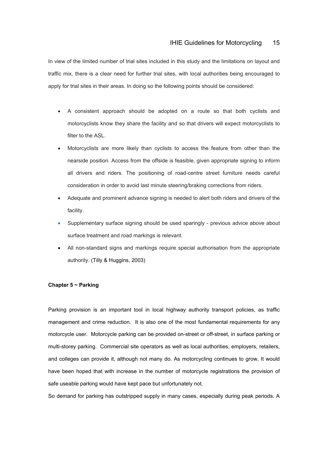In view of the limited number of trial sites included in this study and the limitations on layout and traffic mix, there is a clear need for further trial sites, with local authorities being encouraged to apply for trial sites in their areas. In doing so the following points should be considered:

- A consistent approach should be adopted on a route so that both cyclists and motorcyclists know they share the facility and so that drivers will expect motorcyclists to filter to the ASL.
- Motorcyclists are more likely than cyclists to access the feature from other than the nearside position. Access from the offside is feasible, given appropriate signing to inform all drivers and riders. The positioning of road-centre street furniture needs careful consideration in order to avoid last minute steering/braking corrections from riders.
- Adequate and prominent advance signing is needed to alert both riders and drivers of the facility.
- Supplementary surface signing should be used sparingly previous advice above about surface treatment and road markings is relevant.
- All non-standard signs and markings require special authorisation from the appropriate authority. (Tilly & Huggins, 2003)

### **Chapter 5 ~ Parking**

Parking provision is an important tool in local highway authority transport policies, as traffic management and crime reduction. It is also one of the most fundamental requirements for any motorcycle user. Motorcycle parking can be provided on-street or off-street, in surface parking or multi-storey parking. Commercial site operators as well as local authorities, employers, retailers, and colleges can provide it, although not many do. As motorcycling continues to grow, It would have been hoped that with increase in the number of motorcycle registrations the provision of safe useable parking would have kept pace but unfortunately not.

So demand for parking has outstripped supply in many cases, especially during peak periods. A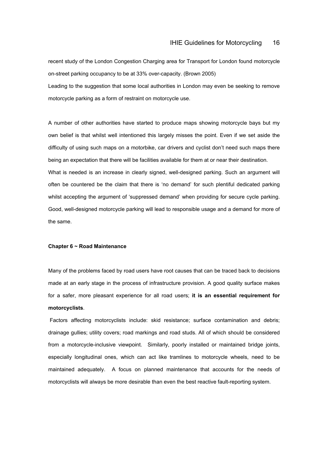recent study of the London Congestion Charging area for Transport for London found motorcycle on-street parking occupancy to be at 33% over-capacity. (Brown 2005)

Leading to the suggestion that some local authorities in London may even be seeking to remove motorcycle parking as a form of restraint on motorcycle use.

A number of other authorities have started to produce maps showing motorcycle bays but my own belief is that whilst well intentioned this largely misses the point. Even if we set aside the difficulty of using such maps on a motorbike, car drivers and cyclist don't need such maps there being an expectation that there will be facilities available for them at or near their destination.

What is needed is an increase in clearly signed, well-designed parking. Such an argument will often be countered be the claim that there is 'no demand' for such plentiful dedicated parking whilst accepting the argument of 'suppressed demand' when providing for secure cycle parking. Good, well-designed motorcycle parking will lead to responsible usage and a demand for more of the same.

#### **Chapter 6 ~ Road Maintenance**

Many of the problems faced by road users have root causes that can be traced back to decisions made at an early stage in the process of infrastructure provision. A good quality surface makes for a safer, more pleasant experience for all road users; **it is an essential requirement for motorcyclists**.

 Factors affecting motorcyclists include: skid resistance; surface contamination and debris; drainage gullies; utility covers; road markings and road studs. All of which should be considered from a motorcycle-inclusive viewpoint. Similarly, poorly installed or maintained bridge joints, especially longitudinal ones, which can act like tramlines to motorcycle wheels, need to be maintained adequately. A focus on planned maintenance that accounts for the needs of motorcyclists will always be more desirable than even the best reactive fault-reporting system.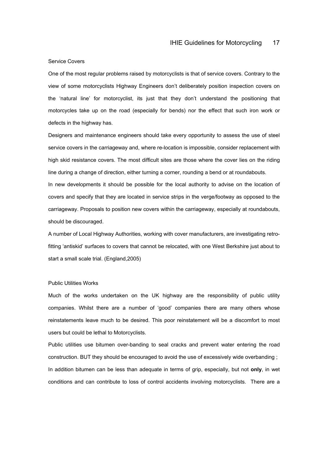#### Service Covers

One of the most regular problems raised by motorcyclists is that of service covers. Contrary to the view of some motorcyclists Highway Engineers don't deliberately position inspection covers on the 'natural line' for motorcyclist, its just that they don't understand the positioning that motorcycles take up on the road (especially for bends) nor the effect that such iron work or defects in the highway has.

Designers and maintenance engineers should take every opportunity to assess the use of steel service covers in the carriageway and, where re-location is impossible, consider replacement with high skid resistance covers. The most difficult sites are those where the cover lies on the riding line during a change of direction, either turning a corner, rounding a bend or at roundabouts. In new developments it should be possible for the local authority to advise on the location of covers and specify that they are located in service strips in the verge/footway as opposed to the carriageway. Proposals to position new covers within the carriageway, especially at roundabouts, should be discouraged.

A number of Local Highway Authorities, working with cover manufacturers, are investigating retrofitting 'antiskid' surfaces to covers that cannot be relocated, with one West Berkshire just about to start a small scale trial. (England,2005)

#### Public Utilities Works

Much of the works undertaken on the UK highway are the responsibility of public utility companies. Whilst there are a number of 'good' companies there are many others whose reinstatements leave much to be desired. This poor reinstatement will be a discomfort to most users but could be lethal to Motorcyclists.

Public utilities use bitumen over-banding to seal cracks and prevent water entering the road construction. BUT they should be encouraged to avoid the use of excessively wide overbanding ; In addition bitumen can be less than adequate in terms of grip, especially, but not **only**, in wet conditions and can contribute to loss of control accidents involving motorcyclists. There are a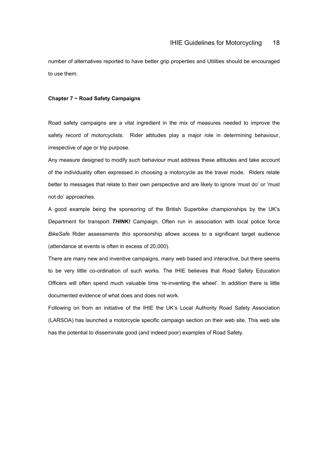number of alternatives reported to have better grip properties and Utilities should be encouraged to use them.

#### **Chapter 7 ~ Road Safety Campaigns**

Road safety campaigns are a vital ingredient in the mix of measures needed to improve the safety record of motorcyclists. Rider attitudes play a major role in determining behaviour, irrespective of age or trip purpose.

Any measure designed to modify such behaviour must address these attitudes and take account of the individuality often expressed in choosing a motorcycle as the travel mode. Riders relate better to messages that relate to their own perspective and are likely to ignore 'must do' or 'must not do' approaches.

A good example being the sponsoring of the British Superbike championships by the UK's Department for transport *THINK!* Campaign. Often run in association with local police force *BikeSafe* Rider assessments *this* sponsorship allows access to a significant target audience (attendance at events is often in excess of 20,000).

There are many new and inventive campaigns, many web based and interactive, but there seems to be very little co-ordination of such works. The IHIE believes that Road Safety Education Officers will often spend much valuable time 're-inventing the wheel'. In addition there is little documented evidence of what does and does not work.

Following on from an initiative of the IHIE the UK's Local Authority Road Safety Association (LARSOA) has launched a motorcycle specific campaign section on their web site. This web site has the potential to disseminate good (and indeed poor) examples of Road Safety.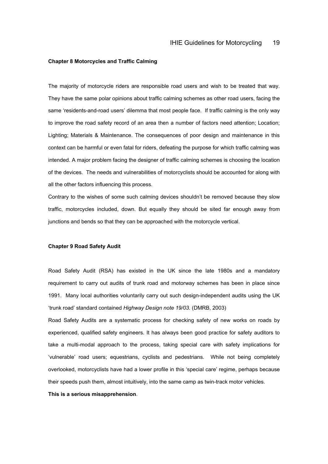#### **Chapter 8 Motorcycles and Traffic Calming**

The majority of motorcycle riders are responsible road users and wish to be treated that way. They have the same polar opinions about traffic calming schemes as other road users, facing the same 'residents-and-road users' dilemma that most people face. If traffic calming is the only way to improve the road safety record of an area then a number of factors need attention; Location; Lighting; Materials & Maintenance. The consequences of poor design and maintenance in this context can be harmful or even fatal for riders, defeating the purpose for which traffic calming was intended. A major problem facing the designer of traffic calming schemes is choosing the location of the devices. The needs and vulnerabilities of motorcyclists should be accounted for along with all the other factors influencing this process.

Contrary to the wishes of some such calming devices shouldn't be removed because they slow traffic, motorcycles included, down. But equally they should be sited far enough away from junctions and bends so that they can be approached with the motorcycle vertical.

#### **Chapter 9 Road Safety Audit**

Road Safety Audit (RSA) has existed in the UK since the late 1980s and a mandatory requirement to carry out audits of trunk road and motorway schemes has been in place since 1991. Many local authorities voluntarily carry out such design-independent audits using the UK 'trunk road' standard contained *Highway Design note 19/03.* (DMRB, 2003)

Road Safety Audits are a systematic process for checking safety of new works on roads by experienced, qualified safety engineers. It has always been good practice for safety auditors to take a multi-modal approach to the process, taking special care with safety implications for 'vulnerable' road users; equestrians, cyclists and pedestrians. While not being completely overlooked, motorcyclists have had a lower profile in this 'special care' regime, perhaps because their speeds push them, almost intuitively, into the same camp as twin-track motor vehicles.

#### **This is a serious misapprehension**.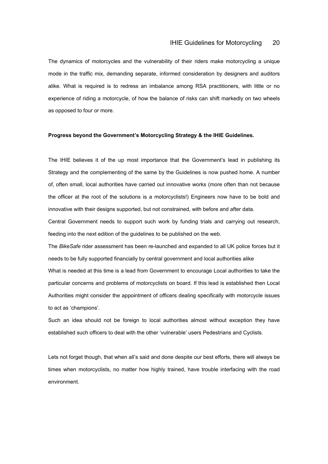The dynamics of motorcycles and the vulnerability of their riders make motorcycling a unique mode in the traffic mix, demanding separate, informed consideration by designers and auditors alike. What is required is to redress an imbalance among RSA practitioners, with little or no experience of riding a motorcycle, of how the balance of risks can shift markedly on two wheels as opposed to four or more.

# **Progress beyond the Government's Motorcycling Strategy & the IHIE Guidelines.**

The IHIE believes it of the up most importance that the Government's lead in publishing its Strategy and the complementing of the same by the Guidelines is now pushed home. A number of, often small, local authorities have carried out innovative works (more often than not because the officer at the root of the solutions is a motorcyclists!) Engineers now have to be bold and innovative with their designs supported, but not constrained, with before and after data.

Central Government needs to support such work by funding trials and carrying out research, feeding into the next edition of the guidelines to be published on the web.

The *BikeSafe* rider assessment has been re-launched and expanded to all UK police forces but it needs to be fully supported financially by central government and local authorities alike What is needed at this time is a lead from Government to encourage Local authorities to take the particular concerns and problems of motorcyclists on board. If this lead is established then Local Authorities might consider the appointment of officers dealing specifically with motorcycle issues to act as 'champions'.

Such an idea should not be foreign to local authorities almost without exception they have established such officers to deal with the other 'vulnerable' users Pedestrians and Cyclists.

Lets not forget though, that when all's said and done despite our best efforts, there will always be times when motorcyclists, no matter how highly trained, have trouble interfacing with the road environment.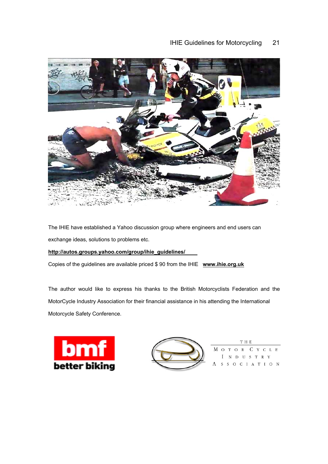# IHIE Guidelines for Motorcycling 21



The IHIE have established a Yahoo discussion group where engineers and end users can exchange ideas, solutions to problems etc.

# **http://autos.groups.yahoo.com/group/ihie\_guidelines/**

Copies of the guidelines are available priced \$ 90 from the IHIE **www.ihie.org.uk**

The author would like to express his thanks to the British Motorcyclists Federation and the MotorCycle Industry Association for their financial assistance in his attending the International Motorcycle Safety Conference.





T H E М C Y C L E O T O  $\mathbb{R}$  $N$  D USTRY SSOCIATION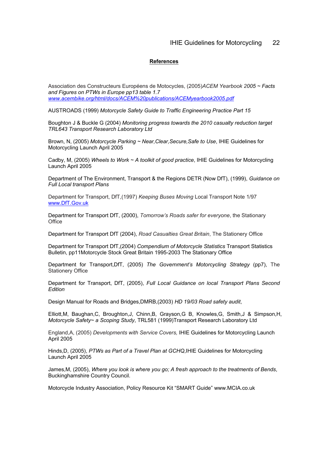#### **References**

Association des Constructeurs Européens de Motocycles, (2005)*ACEM Yearbook 2005 ~ Facts and Figures on PTWs in Europe pp13 table 1.7 www.acembike.org/html/docs/ACEM%20publications/ACEMyearbook2005.pdf*

AUSTROADS (1999) *Motorcycle Safety Guide to Traffic Engineering Practice Part 15* 

Boughton J & Buckle G (2004) *Monitoring progress towards the 2010 casualty reduction target TRL643 Transport Research Laboratory Ltd*

Brown, N, (2005) *Motorcycle Parking ~ Near,Clear,Secure,Safe to Use*, IHIE Guidelines for Motorcycling Launch April 2005

Cadby, M, (2005) *Wheels to Work ~ A toolkit of good practice*, IHIE Guidelines for Motorcycling Launch April 2005

Department of The Environment, Transport & the Regions DETR (Now DfT), (1999), *Guidance on Full Local transport Plans* 

Department for Transport, DfT,(1997) *Keeping Buses Moving* Local Transport Note 1/97 www.DfT.Gov.uk

Department for Transport DfT, (2000), *Tomorrow's Roads safer for everyone*, the Stationary **Office** 

Department for Transport DfT (2004), *Road Casualties Great Britain*, The Stationery Office

Department for Transport DfT,(2004) *Compendium of Motorcycle Statistics* Transport Statistics Bulletin, pp11Motorcycle Stock Great Britain 1995-2003 The Stationary Office

Department for Transport,DfT, (2005) *The Government's Motorcycling Strategy* (pp7), The Stationery Office

Department for Transport, DfT, (2005), *Full Local Guidance on local Transport Plans Second Edition*

Design Manual for Roads and Bridges,DMRB,(2003) *HD 19/03 Road safety audit*,

Elliott,M, Baughan,C, Broughton,J, Chinn,B, Grayson,G B, Knowles,G, Smith,J & Simpson,H, *Motorcycle Safety~ a Scoping Study*, TRL581 (1999)Transport Research Laboratory Ltd

England,A, (2005) *Developments with Service Covers,* IHIE Guidelines for Motorcycling Launch April 2005

Hinds,D, (2005), *PTWs as Part of a Travel Plan at GCHQ*,IHIE Guidelines for Motorcycling Launch April 2005

James,M, (2005), *Where you look is where you go; A fresh approach to the treatments of Bends*, Buckinghamshire Country Council.

Motorcycle Industry Association, Policy Resource Kit "SMART Guide" www.MCIA.co.uk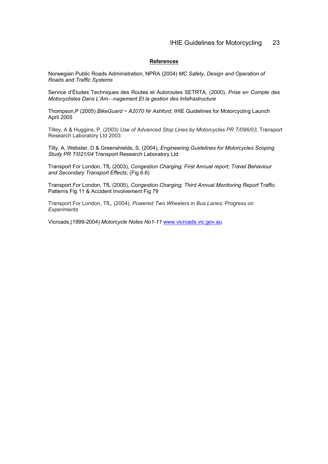# **References**

Norwegian Public Roads Administration, NPRA (2004) *MC Safety, Design and Operation of Roads and Traffic Systems* 

Service d'Études Techniques des Routes et Autoroutes SETRTA, (2000), *Prise en Compte des Motocyclistes Dans L'Amnagement Et la gestion des Infafrastructure* 

Thompson,P (2005) *BikeGuard ~ A2070 Nr Ashford*, IHIE Guidelines for Motorcycling Launch April 2005

Tilley, A & Huggins, P, (2003) *Use of Advanced Stop Lines by Motorcycles PR T/096/03*, Transport Research Laboratory Ltd 2003

Tilly, A, Webster, D & Greenshields, S, (2004), *Engineering Guidelines for Motorcycles Scoping Study PR T/021/04* Transport Research Laboratory Ltd

Transport For London, TfL (2003), *Congestion Charging; First Annual report; Travel Behaviour and Secondary Transport Effects*; (Fig 6.6)

Transport For London, TfL (2005), *Congestion Charging; Third Annual Monitoring Report* Traffic Patterns Fig 11 & Accident Involvement Fig 79

Transport For London, TfL, (2004), *Powered Two Wheelers in Bus Lanes; Progress on Experiments*

Vicroads,(1999-2004) *Motorcycle Notes No1-11* www.vicroads.vic.gov.au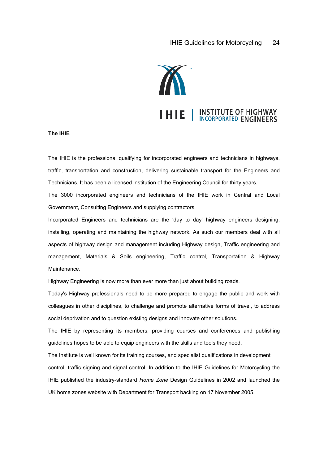

#### **The IHIE**

The IHIE is the professional qualifying for incorporated engineers and technicians in highways, traffic, transportation and construction, delivering sustainable transport for the Engineers and Technicians. It has been a licensed institution of the Engineering Council for thirty years.

The 3000 incorporated engineers and technicians of the IHIE work in Central and Local Government, Consulting Engineers and supplying contractors.

Incorporated Engineers and technicians are the 'day to day' highway engineers designing, installing, operating and maintaining the highway network. As such our members deal with all aspects of highway design and management including Highway design, Traffic engineering and management, Materials & Soils engineering, Traffic control, Transportation & Highway Maintenance.

Highway Engineering is now more than ever more than just about building roads.

Today's Highway professionals need to be more prepared to engage the public and work with colleagues in other disciplines, to challenge and promote alternative forms of travel, to address social deprivation and to question existing designs and innovate other solutions.

The IHIE by representing its members, providing courses and conferences and publishing guidelines hopes to be able to equip engineers with the skills and tools they need.

The Institute is well known for its training courses, and specialist qualifications in development control, traffic signing and signal control. In addition to the IHIE Guidelines for Motorcycling the IHIE published the industry-standard *Home Zone* Design Guidelines in 2002 and launched the UK home zones website with Department for Transport backing on 17 November 2005.